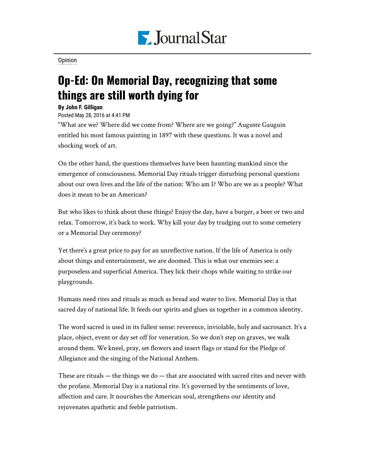

[Opinion](https://www.pjstar.com/search?text=Opinion)

## Op-Ed: On Memorial Day, recognizing that some things are still worth dying for

## **By John F. Gilligan**

Posted May 28, 2016 at 4:41 PM

"What are we? Where did we come from? Where are we going?" Auguste Gauguin entitled his most famous painting in 1897 with these questions. It was a novel and shocking work of art.

On the other hand, the questions themselves have been haunting mankind since the emergence of consciousness. Memorial Day rituals trigger disturbing personal questions about our own lives and the life of the nation: Who am I? Who are we as a people? What does it mean to be an American?

But who likes to think about these things? Enjoy the day, have a burger, a beer or two and relax. Tomorrow, it's back to work. Why kill your day by trudging out to some cemetery or a Memorial Day ceremony?

Yet there's a great price to pay for an unreflective nation. If the life of America is only about things and entertainment, we are doomed. This is what our enemies see: a purposeless and superficial America. They lick their chops while waiting to strike our playgrounds.

Humans need rites and rituals as much as bread and water to live. Memorial Day is that sacred day of national life. It feeds our spirits and glues us together in a common identity.

The word sacred is used in its fullest sense: reverence, inviolable, holy and sacrosanct. It's a place, object, event or day set off for veneration. So we don't step on graves, we walk around them. We kneel, pray, set flowers and insert flags or stand for the Pledge of Allegiance and the singing of the National Anthem.

These are rituals — the things we do — that are associated with sacred rites and never with the profane. Memorial Day is a national rite. It's governed by the sentiments of love, affection and care. It nourishes the American soul, strengthens our identity and rejuvenates apathetic and feeble patriotism.